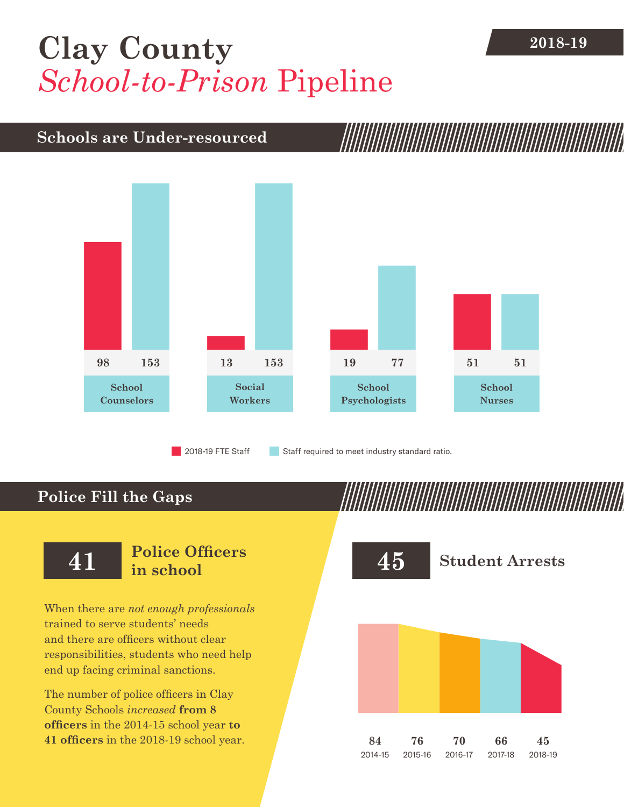## [Clay County](DBF_County) **2018-19** *School-to-Prison* Pipeline

## **Schools are Under-resourced**



2018-19 FTE Staff **Staff required to meet industry standard ratio.** 

## **Police Fill the Gaps**

When there are *not enough professionals* trained to serve students' needs and there are officers without clear responsibilities, students who need help end up facing criminal sanctions.

The number of police officers in [Clay](DBF_County)  [County](DBF_County) Schools *increased* **from [8](DBF_PO1415) officers** in the 2014-15 school year **to [41](DBF_PO) officers** in the 2018-19 school year.